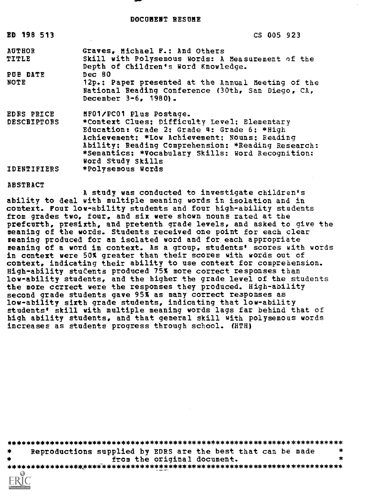DOCUMENT RESUME

| ED 198 513             | CS 005 923                                                                                                                                                                                                                                                                   |
|------------------------|------------------------------------------------------------------------------------------------------------------------------------------------------------------------------------------------------------------------------------------------------------------------------|
| <b>AUTHOR</b><br>TITLE | Graves, Michael F.: And Others<br>Skill with Polysemous Words: A Measurement of the<br>Depth of Children's Word Knowledge.                                                                                                                                                   |
| PUB DATE               | Dec 80                                                                                                                                                                                                                                                                       |
| NOTE                   | 12p.: Paper presented at the Annual Meeting of the<br>National Reading Conference (30th, San Diego, CA,<br>December 3-6, 1980).                                                                                                                                              |
| <b>EDRS PRICE</b>      | MF01/PC01 Plus Postage.                                                                                                                                                                                                                                                      |
| <b>DESCRIPTORS</b>     | *Context Clues; Difficulty Level; Elementary<br>Education: Grade 2: Grade 4: Grade 6: *High<br>Achievement: *Low Achievement: Nouns: Reading<br>Ability; Reading Comprehension; *Reading Research;<br>*Semantics: *Vocabulary Skills: Word Recognition:<br>Word Study Skills |
| <b>IDENTIFIERS</b>     | *Polysemous Words                                                                                                                                                                                                                                                            |

#### ABSTRACT

A study was conducted to investigate children's ability to deal with multiple meaning words in isolation and in context. Four low-ability students and four high-ability students from grades two, four, and six were shown nouns rated at the prefcurth, presixth, and pretenth grade levels, and asked to give the meaning of the words. Students received one point for each clear reaning produced for an isolated word and for each appropriate meaning of a word in context. As a group, students' scores with words in context were 50% greater than their scores with words out of context, indicating their ability to use context for comprehension. High-ability students produced 75% more correct responses than low-ability students, and the higher the grade level of the students the more correct were the responses they produced. High-ability second grade students gave 95% as many correct responses as low-ability sixth grade students, indicating that low-ability students' skill with multiple meaning words lags far behind that of high ability students, and that general skill with polysemous words increases as students progress through school. (HTH)

| $\frac{1}{2}$ |  | Reproductions supplied by EDRS are the best that can be made |  |
|---------------|--|--------------------------------------------------------------|--|
|               |  | from the original document.                                  |  |
|               |  |                                                              |  |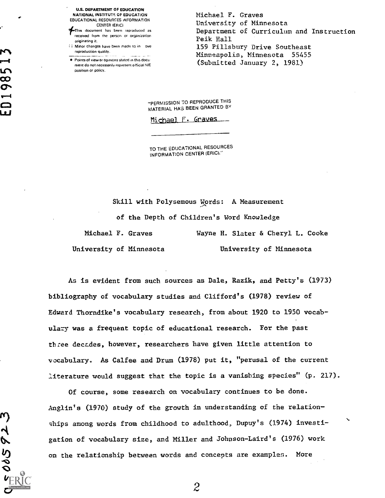U.S. DEPARTMENT OF EDUCATION<br>
NATIONAL INSTITUTE OF EDUCATION EDUCATIONAL RESOURCES INFORMATION CENTER IERICI

fThis document has been reproduced as received from the person or organization originating it.

i Minor changes have been made to in ove reproduction quality.

Points of view or opinions stated in this document do not necessarily represent official NIE position or policy.

Michael F. Graves University of Minnesota Department of Curriculum and Instruction Peik Hall 159 Pillsbury Drive Southeast Minneapolis, Minnesota 55455 (Submitted January 2, 1981)

"PERMISSION 70 REPRODUCE THIS MATERIAL HAS BEEN GRANTED BY

Michael F. Graves

TO THE EDUCATIONAL RESOURCES INFORMATION CENTER (ERIC)."

Skill with Polysemous Words: A Measurement

of the Depth of Children's Word Knowledge

Michael F. Graves Wayne H. Slater & Cheryl L. Cooke University of Minnesota University of Minnesota

As is evident from such sources as Dale, Razik, and Petty's (1973) bibliography of vocabulary studies and Clifford's (1978) review of Edward Thorndike's vocabulary research, from about 1920 to 1950 vocabulary was a frequent topic of educational research. For the past three decades, however, researchers have given little attention to vocabulary. As Calfee and Drum (1978) put it, "perusal of the current literature would suggest that the topic is a vanishing species" (p. 217).

Of course, some research on vocabulary continues to be done. Anglin's (1970) study of the growth in understanding of the relationships among words from childhood to adulthood, Dupuy's (1974) investigation of vocabulary size, and Miller and Johnson-Laird's (1976) work on the relationship between words and concepts are examples. More

m)

005 P2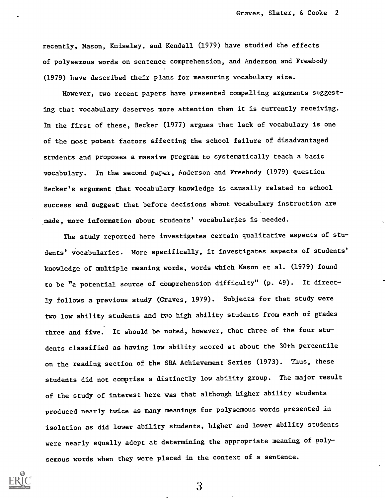recently, Mason, Kniseley, and Kendall (1979) have studied the effects of polysemous words on sentence comprehension, and Anderson and Freebody (1979) have described their plans for measuring vocabulary size.

However, two recent papers have presented compelling arguments suggesting that vocabulary deserves more attention than it is currently receiving. In the first of these, Becker (1977) argues that lack of vocabulary is one of the most potent factors affecting the school failure of disadvantaged students and proposes a massive program to systematically teach a basic vocabulary. In the second paper, Anderson and Freebody (1979) question Becker's argument that vocabulary knowledge is causally related to school success and suggest that before decisions about vocabulary instruction are made, more information about students' vocabularies is needed.

The study reported here investigates certain qualitative aspects of students' vocabularies. More specifically, it investigates aspects of students' knowledge of multiple meaning words, words which Mason et al. (1979) found to be "a potential source of comprehension difficulty" (p. 49). It directly follows a previous study (Graves, 1979). Subjects for that study were two low ability students and two high ability students from each of grades three and five. It should be noted, however, that three of the four students classified as having low ability scored at about the 30th percentile on the reading section of the SRA Achievement Series (1973). Thus, these students did not comprise a distinctly low ability group. The major result of the study of interest here was that although higher ability students produced nearly twice as many meanings for polysemous words presented in isolation as did lower ability students, higher and lower ability students were nearly equally adept at determining the appropriate meaning of polysemous words when they were placed in the context of a sentence.

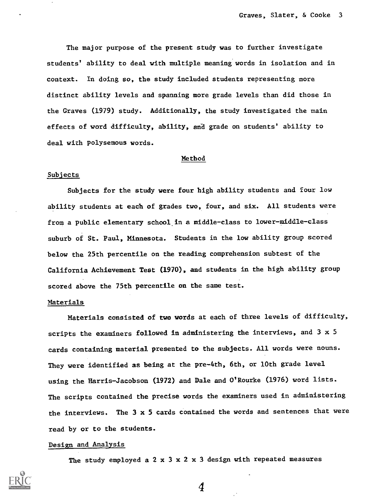The major purpose of the present study was to further investigate students' ability to deal with multiple meaning words in isolation and in context. In doing so, the study included students representing more distinct ability levels and spanning more grade levels than did those in the Graves (1979) study. Additionally, the study investigated the main effects of word difficulty, ability, and grade on students' ability to deal with polysemous words.

#### Method

#### Subjects

Subjects for the study were four high ability students and four low ability students at each of grades two, four, and six. All students were from a public elementary school in a middle-class to lower-middle-class suburb of St. Paul, Minnesota. Students in the low ability group scored below the 25th percentile on the reading comprehension subtest of the California Achievement Test (1970), and students in the high ability group scored above the 75th percentile on the same test.

#### Materials

Materials consisted of two words at each of three levels of difficulty, scripts the examiners followed in administering the interviews, and 3 x 5 cards containing material presented to the subjects. All words were nouns. They were identified as being at the pre-4th, 6th, or 10th grade level using the Harris-Jacobson (1972) and Dale and O'Rourke (1976) word lists. The scripts contained the precise words the examiners used in administering the interviews. The 3 x 5 cards contained the words and sentences that were read by or to the students.

### Design and Analysis

The study employed a  $2 \times 3 \times 2 \times 3$  design with repeated measures

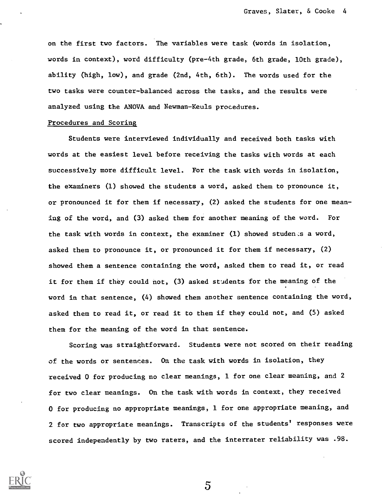on the first two factors. The variables were task (words in isolation, words in context), word difficulty (pre-4th grade, 6th grade, 10th grade), ability (high, low), and grade (2nd, 4th, 6th). The words used for the two tasks were counter-balanced across the tasks, and the results were analyzed using the ANOVA and Newman-Keuls procedures.

### Procedures and Scoring

Students were interviewed individually and received both tasks with words at the easiest level before receiving the tasks with words at each successively more difficult level. For the task with words in isolation, the examiners (1) showed the students a word, asked them to pronounce it, or pronounced it for them if necessary, (2) asked the students for one meaning of the word, and (3) asked them for another meaning of the word. For the task with words in context, the examiner  $(1)$  showed students a word, asked them to pronounce it, or pronounced it for them if necessary, (2) showed them a sentence containing the word, asked them to read it, or read it for them if they could not, (3) asked students for the meaning of the word in that sentence, (4) showed them another sentence containing the word, asked them to read it, or read it to them if they could not, and (5) asked them for the meaning of the word in that sentence.

Scoring was straightforward. Students were not scored on their reading of the words or sentences. On the task with words in isolation, they received 0 for producing no clear meanings, 1 for one clear meaning, and 2 for two clear meanings. On the task with words in context, they received 0 for producing no appropriate meanings, 1 for one appropriate meaning, and 2 for two appropriate meanings. Transcripts of the students' responses were scored independently by two raters, and the interrater reliability was .98.

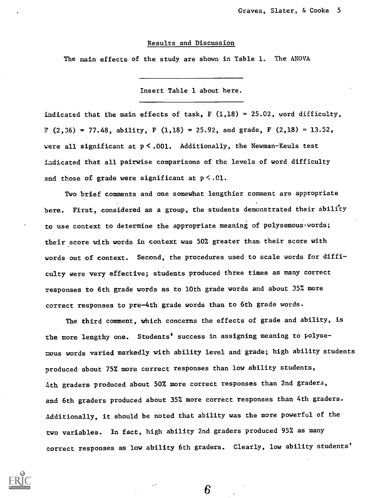#### Results and Discussion

The main effects of the study are shown in Table 1. The ANOVA

Insert Table 1 about here.

indicated that the main effects of task,  $F(1,18) = 25.02$ , word difficulty,  $F(2,36) = 77.48$ , ability, F  $(1,18) = 25.92$ , and grade, F  $(2,18) = 13.52$ , were all significant at  $p < .001$ . Additionally, the Newman-Keuls test indicated that all pairwise comparisons of the levels of word difficulty and those of grade were significant at  $p \leq 0.01$ .

Two brief comments and one somewhat lengthier comment are appropriate here. First, considered as a group, the students demonstrated their ability to use context to determine the appropriate meaning of polysemous words; their score with words in context was 50% greater than their score with words out of context. Second, the procedures used to scale words for difficulty were very effective; students produced three times as many correct responses to 6th grade words as to 10th grade words and about 35% more correct responses to pre-4th grade words than to 6th grade words.

The third comment, which concerns the effects of grade and ability, is the more lengthy one. Students' success in assigning meaning to polysemous words varied markedly with ability level and grade; high ability students produced about 75% more correct responses than low ability students, 4th graders produced about 50% more correct responses than 2nd graders, and 6th graders produced about 35% more correct responses than 4th graders. Additionally, it should be noted that ability was the more powerful of the two variables. In fact, high ability 2nd graders produced 95% as many correct responses as low ability 6th graders. Clearly, low ability students'

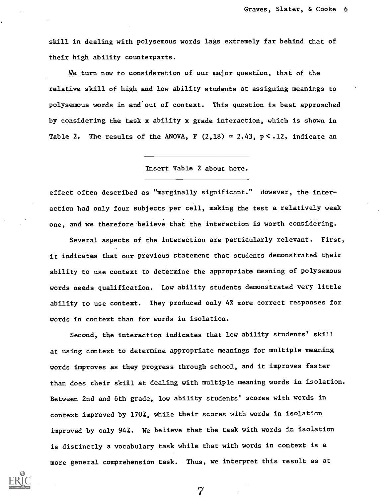skill in dealing with polysemous words lags extremely far behind that of their high ability counterparts.

\_We turn now to consideration of our major question, that of the relative skill of high and low ability students at assigning meanings to polysemous words in and out of context. This question is best approached by considering the task x ability x grade interaction, which is shown in Table 2. The results of the ANOVA, F  $(2,18) = 2.43$ , p  $\leq$  .12, indicate an

Insert Table 2 about here.

effect often described as "marginally significant." However, the interaction had only four subjects per cell, making the test a relatively weak one, and we therefore believe that the interaction is worth considering.

Several aspects of the interaction are particularly relevant. First, it indicates that our previous statement that students demonstrated their ability to use context to determine the appropriate meaning of polysemous words needs qualification. Low ability students demonstrated very little ability to use context. They produced only 4% more correct responses for words in context than for words in isolation.

Second, the interaction indicates that low ability students' skill at using context to determine appropriate meanings for multiple meaning words improves as they progress through school, and it improves faster than does their skill at dealing with multiple meaning words in isolation. Between 2nd and 6th grade, low ability students' scores with words in context improved by 170%, while their scores with words in isolation improved by only 942. We believe that the task with words in isolation is distinctly a vocabulary task while that with words in context is a more general comprehension task. Thus, we interpret this result as at

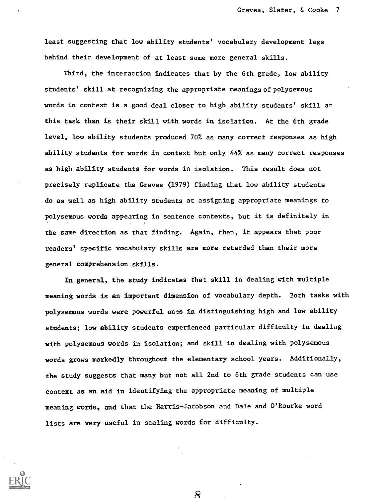least suggesting that low ability students' vocabulary development lags behind their development of at least some more general skills.

Third, the interaction indicates that by the 6th grade, low ability students' skill at recognizing the appropriate meanings of polysemous words in context is a good deal closer to high ability students' skill at this task than is their skill with words in isolation. At the 6th grade level, low ability students produced 70% as many correct responses as high ability students for words in context but only 44% as many correct responses as high ability students for words in isolation. This result does not precisely replicate the Graves (1979) finding that low ability students do as well as high ability students at assigning appropriate meanings to polysemous words appearing in Sentence contexts, but it is definitely in the same direction as that finding. Again, then, it appears that poor readers' specific vocabulary skills are more retarded than their more general comprehension skills.

In general, the study indicates that skill in dealing with multiple meaning words is an important dimension of vocabulary depth. Both tasks with polysemous words were powerful ones in distinguishing high and low ability students; low ability students experienced particular difficulty in dealing with polysemous words in isolation; and skill in dealing with polysemous words grows markedly throughout the elementary school years. Additionally, the study suggests that many but not all 2nd to 6th grade students can use context as an aid in identifying the appropriate meaning of multiple meaning words, and that the Harris- Jacobson and Dale and O'Rourke word lists are very useful in scaling words for difficulty.

R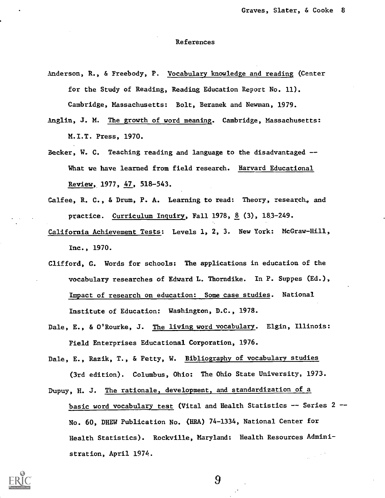## References

Anderson, R., & Freebody, P. Vocabulary knowledge and reading (Center for the Study of Reading, Reading Education Report No. 11). Cambridge, Massachusetts: Bolt, Beranek and Newman, 1979.

Anglin, J. M. The growth of word meaning. Cambridge, Massachusetts: M.I.T. Press, 1970.

- Becker, W. C. Teaching reading and language to the disadvantaged --What we have learned from field research. Harvard Educational Review, 1977, 47, 518-543.
- Calfee, R. C., & Drum, P. A. Learning to read: Theory, research, and practice. Curriculum Inquiry, Fall 1978, 8 (3), 183-249.
- California Achievement Tests: Levels 1, 2, 3. New York: McGraw-Hill, Inc., 1970.
- Clifford, G. Words for schools: The applications in education of the vocabulary researches of Edward L. Thorndike. In P. Suppes (Ed.), Impact of research on education: Some case studies. National Institute of Education: Washington, D.C., 1978.
- Dale, E., & O'Rourke, J. The living word vocabulary. Elgin, Illinois: Field Enterprises Educational Corporation, 1976.

Dale, E., Razik, T., & Petty, W. Bibliography of vocabulary studies (3rd edition). Columbus, Ohio: The Ohio State University, 1973.

Dupuy, H. J. The rationale, development, and standardization of a

basic word vocabulary test (Vital and Health Statistics -- Series 2 --No. 60, DHEW Publication No. (BRA) 74-1334, National Center for Health Statistics). Rockville, Maryland: Health Resources Administration, April 1974.

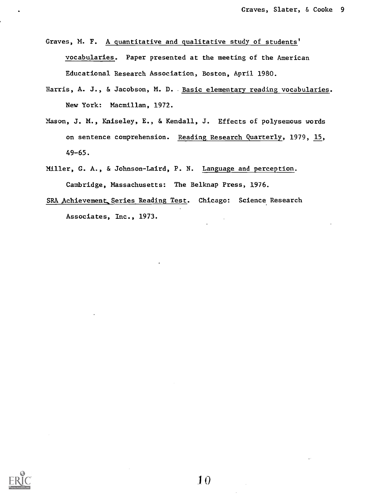Graves, M. F. A quantitative and qualitative study of students' vocabularies. Paper presented at the meeting of the American Educational Research Association, Boston, April 1980.

- Harris, A. J., & Jacobson, M. D. Basic elementary reading vocabularies. New York: Macmillan, 1972.
- Mason, J. M., Kniseley, E., & Kendall, J. Effects of polysemous words on sentence comprehension. Reading Research Quarterly, 1979, 15, 49-65.
- Miller, G. A., & Johnson-Laird, P. N. Language and perception. Cambridge, Massachusetts: The Belknap Press, 1976.
- SRA Achievement Series Reading Test. Chicago: Science Research Associates, Inc., 1973.

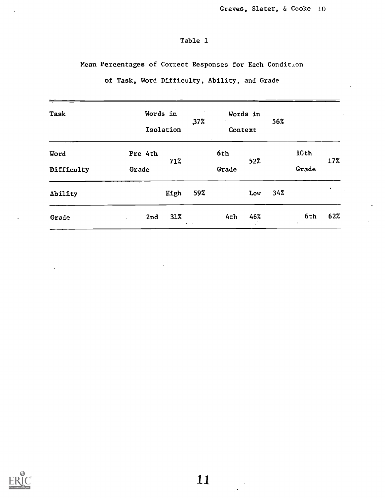# Table 1

Mean Percentages of Correct Responses for Each Condition

| Task               | Words in<br>Isolation |        | 37%                  | Words in<br>Context |     | 56% |               |     |
|--------------------|-----------------------|--------|----------------------|---------------------|-----|-----|---------------|-----|
| Word<br>Difficulty | Pre 4th<br>Grade      | 71%    |                      | 6th<br>Grade        | 52% |     | 10th<br>Grade | 17% |
| Ability            |                       | High   | 59%                  |                     | Low | 34% |               |     |
| Grade              | 2nd<br>$\cdot$        | $31\%$ | $\bullet$ .<br><br>: | 4th                 | 46% |     | 6th           | 62% |

of Task, Word Difficulty, Ability, and Grade



 $\boldsymbol{\mu}$ 

 $\mathbb{R}^{\star}$